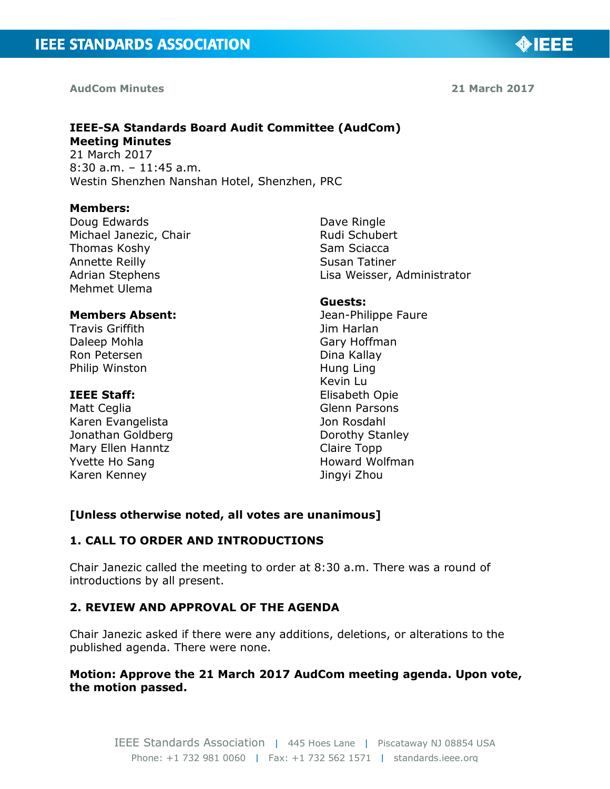#### **AudCom Minutes**

**21 March 2017**

◈IEEE

## **IEEE-SA Standards Board Audit Committee (AudCom) Meeting Minutes**

21 March 2017 8:30 a.m. – 11:45 a.m. Westin Shenzhen Nanshan Hotel, Shenzhen, PRC

#### **Members:**

Doug Edwards Michael Janezic, Chair Thomas Koshy Annette Reilly Adrian Stephens Mehmet Ulema

#### **Members Absent:**

Travis Griffith Daleep Mohla Ron Petersen Philip Winston

#### **IEEE Staff:**

Matt Ceglia Karen Evangelista Jonathan Goldberg Mary Ellen Hanntz Yvette Ho Sang Karen Kenney

Dave Ringle Rudi Schubert Sam Sciacca Susan Tatiner Lisa Weisser, Administrator

#### **Guests:**

Jean-Philippe Faure Jim Harlan Gary Hoffman Dina Kallay Hung Ling Kevin Lu Elisabeth Opie Glenn Parsons Jon Rosdahl Dorothy Stanley Claire Topp Howard Wolfman Jingyi Zhou

#### **[Unless otherwise noted, all votes are unanimous]**

#### **1. CALL TO ORDER AND INTRODUCTIONS**

Chair Janezic called the meeting to order at 8:30 a.m. There was a round of introductions by all present.

#### **2. REVIEW AND APPROVAL OF THE AGENDA**

Chair Janezic asked if there were any additions, deletions, or alterations to the published agenda. There were none.

#### **Motion: Approve the 21 March 2017 AudCom meeting agenda. Upon vote, the motion passed.**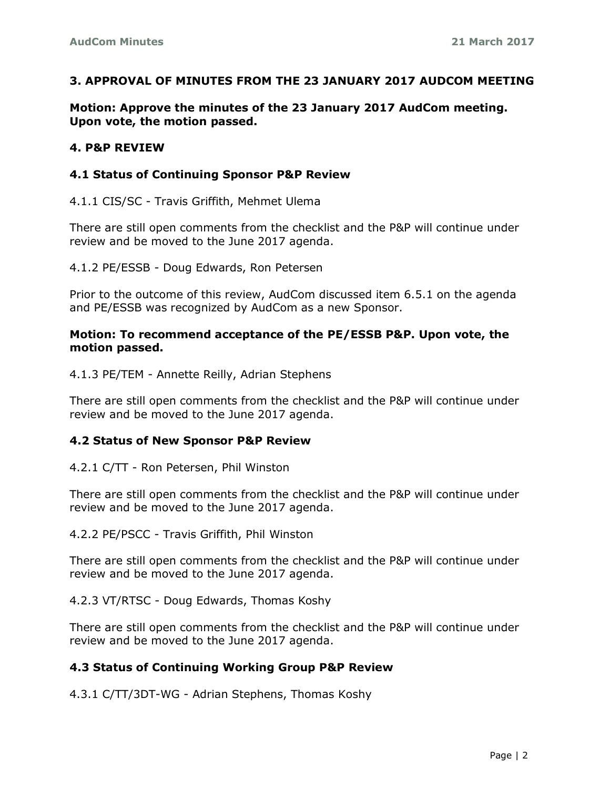#### **3. APPROVAL OF MINUTES FROM THE 23 JANUARY 2017 AUDCOM MEETING**

**Motion: Approve the minutes of the 23 January 2017 AudCom meeting. Upon vote, the motion passed.**

#### **4. P&P REVIEW**

#### **4.1 Status of Continuing Sponsor P&P Review**

4.1.1 CIS/SC - Travis Griffith, Mehmet Ulema

There are still open comments from the checklist and the P&P will continue under review and be moved to the June 2017 agenda.

4.1.2 PE/ESSB - Doug Edwards, Ron Petersen

Prior to the outcome of this review, AudCom discussed item 6.5.1 on the agenda and PE/ESSB was recognized by AudCom as a new Sponsor.

#### **Motion: To recommend acceptance of the PE/ESSB P&P. Upon vote, the motion passed.**

4.1.3 PE/TEM - Annette Reilly, Adrian Stephens

There are still open comments from the checklist and the P&P will continue under review and be moved to the June 2017 agenda.

#### **4.2 Status of New Sponsor P&P Review**

4.2.1 C/TT - Ron Petersen, Phil Winston

There are still open comments from the checklist and the P&P will continue under review and be moved to the June 2017 agenda.

4.2.2 PE/PSCC - Travis Griffith, Phil Winston

There are still open comments from the checklist and the P&P will continue under review and be moved to the June 2017 agenda.

4.2.3 VT/RTSC - Doug Edwards, Thomas Koshy

There are still open comments from the checklist and the P&P will continue under review and be moved to the June 2017 agenda.

## **4.3 Status of Continuing Working Group P&P Review**

4.3.1 C/TT/3DT-WG - Adrian Stephens, Thomas Koshy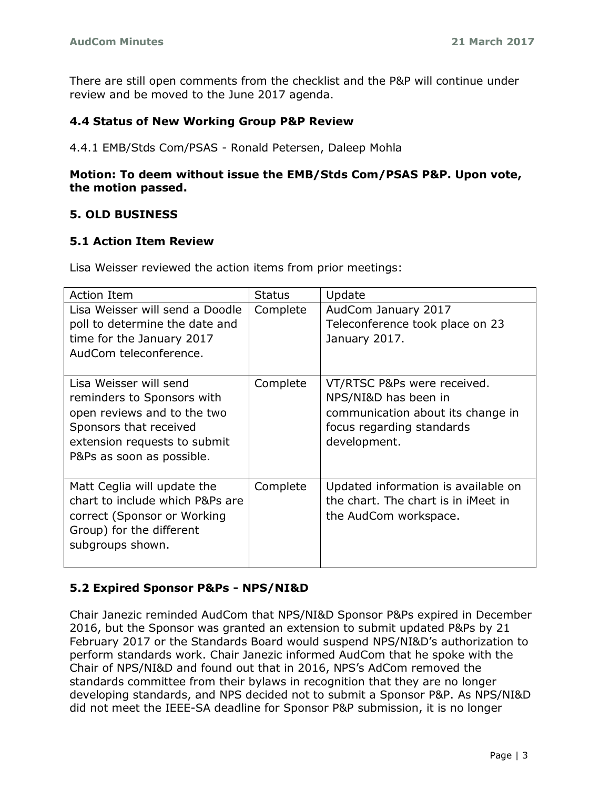There are still open comments from the checklist and the P&P will continue under review and be moved to the June 2017 agenda.

### **4.4 Status of New Working Group P&P Review**

4.4.1 EMB/Stds Com/PSAS - Ronald Petersen, Daleep Mohla

### **Motion: To deem without issue the EMB/Stds Com/PSAS P&P. Upon vote, the motion passed.**

### **5. OLD BUSINESS**

#### **5.1 Action Item Review**

Lisa Weisser reviewed the action items from prior meetings:

| <b>Action Item</b>              | <b>Status</b> | Update                              |
|---------------------------------|---------------|-------------------------------------|
| Lisa Weisser will send a Doodle | Complete      | AudCom January 2017                 |
| poll to determine the date and  |               | Teleconference took place on 23     |
| time for the January 2017       |               | January 2017.                       |
| AudCom teleconference.          |               |                                     |
|                                 |               |                                     |
| Lisa Weisser will send          | Complete      | VT/RTSC P&Ps were received.         |
| reminders to Sponsors with      |               | NPS/NI&D has been in                |
| open reviews and to the two     |               | communication about its change in   |
| Sponsors that received          |               | focus regarding standards           |
| extension requests to submit    |               | development.                        |
| P&Ps as soon as possible.       |               |                                     |
|                                 |               |                                     |
| Matt Ceglia will update the     | Complete      | Updated information is available on |
| chart to include which P&Ps are |               | the chart. The chart is in iMeet in |
| correct (Sponsor or Working     |               | the AudCom workspace.               |
| Group) for the different        |               |                                     |
| subgroups shown.                |               |                                     |
|                                 |               |                                     |

#### **5.2 Expired Sponsor P&Ps - NPS/NI&D**

Chair Janezic reminded AudCom that NPS/NI&D Sponsor P&Ps expired in December 2016, but the Sponsor was granted an extension to submit updated P&Ps by 21 February 2017 or the Standards Board would suspend NPS/NI&D's authorization to perform standards work. Chair Janezic informed AudCom that he spoke with the Chair of NPS/NI&D and found out that in 2016, NPS's AdCom removed the standards committee from their bylaws in recognition that they are no longer developing standards, and NPS decided not to submit a Sponsor P&P. As NPS/NI&D did not meet the IEEE-SA deadline for Sponsor P&P submission, it is no longer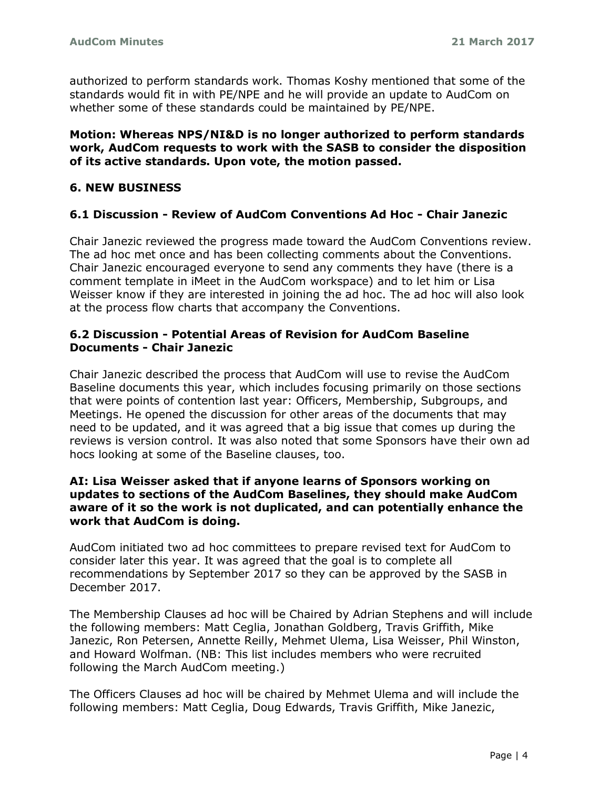authorized to perform standards work. Thomas Koshy mentioned that some of the standards would fit in with PE/NPE and he will provide an update to AudCom on whether some of these standards could be maintained by PE/NPE.

### **Motion: Whereas NPS/NI&D is no longer authorized to perform standards work, AudCom requests to work with the SASB to consider the disposition of its active standards. Upon vote, the motion passed.**

## **6. NEW BUSINESS**

#### **6.1 Discussion - Review of AudCom Conventions Ad Hoc - Chair Janezic**

Chair Janezic reviewed the progress made toward the AudCom Conventions review. The ad hoc met once and has been collecting comments about the Conventions. Chair Janezic encouraged everyone to send any comments they have (there is a comment template in iMeet in the AudCom workspace) and to let him or Lisa Weisser know if they are interested in joining the ad hoc. The ad hoc will also look at the process flow charts that accompany the Conventions.

### **6.2 Discussion - Potential Areas of Revision for AudCom Baseline Documents - Chair Janezic**

Chair Janezic described the process that AudCom will use to revise the AudCom Baseline documents this year, which includes focusing primarily on those sections that were points of contention last year: Officers, Membership, Subgroups, and Meetings. He opened the discussion for other areas of the documents that may need to be updated, and it was agreed that a big issue that comes up during the reviews is version control. It was also noted that some Sponsors have their own ad hocs looking at some of the Baseline clauses, too.

#### **AI: Lisa Weisser asked that if anyone learns of Sponsors working on updates to sections of the AudCom Baselines, they should make AudCom aware of it so the work is not duplicated, and can potentially enhance the work that AudCom is doing.**

AudCom initiated two ad hoc committees to prepare revised text for AudCom to consider later this year. It was agreed that the goal is to complete all recommendations by September 2017 so they can be approved by the SASB in December 2017.

The Membership Clauses ad hoc will be Chaired by Adrian Stephens and will include the following members: Matt Ceglia, Jonathan Goldberg, Travis Griffith, Mike Janezic, Ron Petersen, Annette Reilly, Mehmet Ulema, Lisa Weisser, Phil Winston, and Howard Wolfman. (NB: This list includes members who were recruited following the March AudCom meeting.)

The Officers Clauses ad hoc will be chaired by Mehmet Ulema and will include the following members: Matt Ceglia, Doug Edwards, Travis Griffith, Mike Janezic,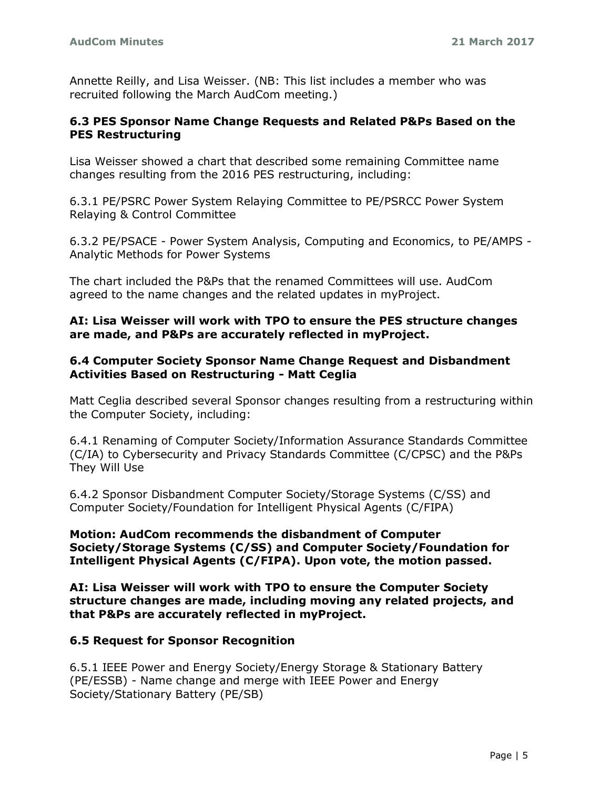Annette Reilly, and Lisa Weisser. (NB: This list includes a member who was recruited following the March AudCom meeting.)

#### **6.3 PES Sponsor Name Change Requests and Related P&Ps Based on the PES Restructuring**

Lisa Weisser showed a chart that described some remaining Committee name changes resulting from the 2016 PES restructuring, including:

6.3.1 PE/PSRC Power System Relaying Committee to PE/PSRCC Power System Relaying & Control Committee

6.3.2 PE/PSACE - Power System Analysis, Computing and Economics, to PE/AMPS - Analytic Methods for Power Systems

The chart included the P&Ps that the renamed Committees will use. AudCom agreed to the name changes and the related updates in myProject.

## **AI: Lisa Weisser will work with TPO to ensure the PES structure changes are made, and P&Ps are accurately reflected in myProject.**

### **6.4 Computer Society Sponsor Name Change Request and Disbandment Activities Based on Restructuring - Matt Ceglia**

Matt Ceglia described several Sponsor changes resulting from a restructuring within the Computer Society, including:

6.4.1 Renaming of Computer Society/Information Assurance Standards Committee (C/IA) to Cybersecurity and Privacy Standards Committee (C/CPSC) and the P&Ps They Will Use

6.4.2 Sponsor Disbandment Computer Society/Storage Systems (C/SS) and Computer Society/Foundation for Intelligent Physical Agents (C/FIPA)

#### **Motion: AudCom recommends the disbandment of Computer Society/Storage Systems (C/SS) and Computer Society/Foundation for Intelligent Physical Agents (C/FIPA). Upon vote, the motion passed.**

**AI: Lisa Weisser will work with TPO to ensure the Computer Society structure changes are made, including moving any related projects, and that P&Ps are accurately reflected in myProject.**

## **6.5 Request for Sponsor Recognition**

6.5.1 IEEE Power and Energy Society/Energy Storage & Stationary Battery (PE/ESSB) - Name change and merge with IEEE Power and Energy Society/Stationary Battery (PE/SB)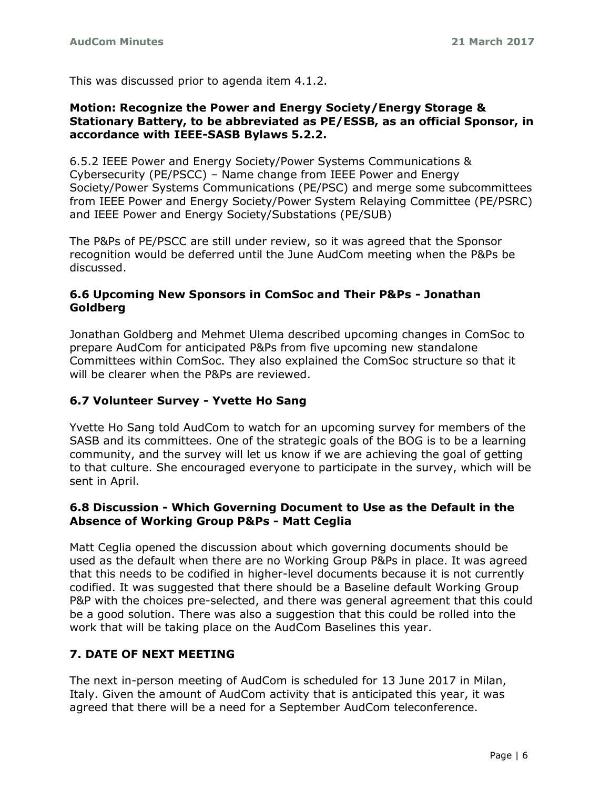This was discussed prior to agenda item 4.1.2.

#### **Motion: Recognize the Power and Energy Society/Energy Storage & Stationary Battery, to be abbreviated as PE/ESSB, as an official Sponsor, in accordance with IEEE-SASB Bylaws 5.2.2.**

6.5.2 IEEE Power and Energy Society/Power Systems Communications & Cybersecurity (PE/PSCC) – Name change from IEEE Power and Energy Society/Power Systems Communications (PE/PSC) and merge some subcommittees from IEEE Power and Energy Society/Power System Relaying Committee (PE/PSRC) and IEEE Power and Energy Society/Substations (PE/SUB)

The P&Ps of PE/PSCC are still under review, so it was agreed that the Sponsor recognition would be deferred until the June AudCom meeting when the P&Ps be discussed.

## **6.6 Upcoming New Sponsors in ComSoc and Their P&Ps - Jonathan Goldberg**

Jonathan Goldberg and Mehmet Ulema described upcoming changes in ComSoc to prepare AudCom for anticipated P&Ps from five upcoming new standalone Committees within ComSoc. They also explained the ComSoc structure so that it will be clearer when the P&Ps are reviewed.

## **6.7 Volunteer Survey - Yvette Ho Sang**

Yvette Ho Sang told AudCom to watch for an upcoming survey for members of the SASB and its committees. One of the strategic goals of the BOG is to be a learning community, and the survey will let us know if we are achieving the goal of getting to that culture. She encouraged everyone to participate in the survey, which will be sent in April.

## **6.8 Discussion - Which Governing Document to Use as the Default in the Absence of Working Group P&Ps - Matt Ceglia**

Matt Ceglia opened the discussion about which governing documents should be used as the default when there are no Working Group P&Ps in place. It was agreed that this needs to be codified in higher-level documents because it is not currently codified. It was suggested that there should be a Baseline default Working Group P&P with the choices pre-selected, and there was general agreement that this could be a good solution. There was also a suggestion that this could be rolled into the work that will be taking place on the AudCom Baselines this year.

# **7. DATE OF NEXT MEETING**

The next in-person meeting of AudCom is scheduled for 13 June 2017 in Milan, Italy. Given the amount of AudCom activity that is anticipated this year, it was agreed that there will be a need for a September AudCom teleconference.